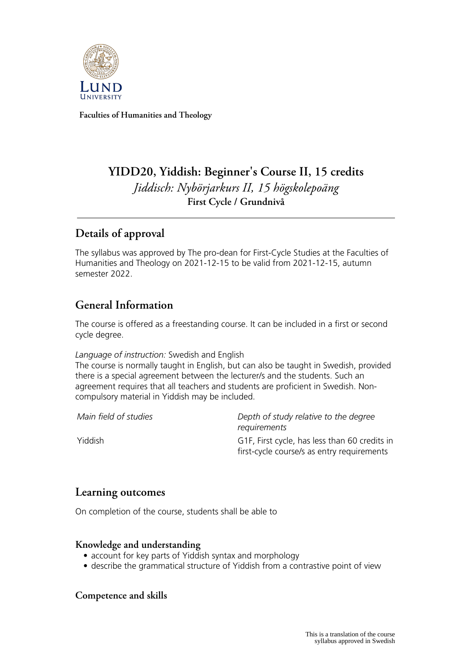

**Faculties of Humanities and Theology**

# **YIDD20, Yiddish: Beginner's Course II, 15 credits** *Jiddisch: Nybörjarkurs II, 15 högskolepoäng* **First Cycle / Grundnivå**

## **Details of approval**

The syllabus was approved by The pro-dean for First-Cycle Studies at the Faculties of Humanities and Theology on 2021-12-15 to be valid from 2021-12-15, autumn semester 2022.

## **General Information**

The course is offered as a freestanding course. It can be included in a first or second cycle degree.

#### *Language of instruction:* Swedish and English

The course is normally taught in English, but can also be taught in Swedish, provided there is a special agreement between the lecturer/s and the students. Such an agreement requires that all teachers and students are proficient in Swedish. Noncompulsory material in Yiddish may be included.

*Main field of studies Depth of study relative to the degree requirements* Yiddish G1F, First cycle, has less than 60 credits in first-cycle course/s as entry requirements

### **Learning outcomes**

On completion of the course, students shall be able to

#### **Knowledge and understanding**

- account for key parts of Yiddish syntax and morphology
- describe the grammatical structure of Yiddish from a contrastive point of view

#### **Competence and skills**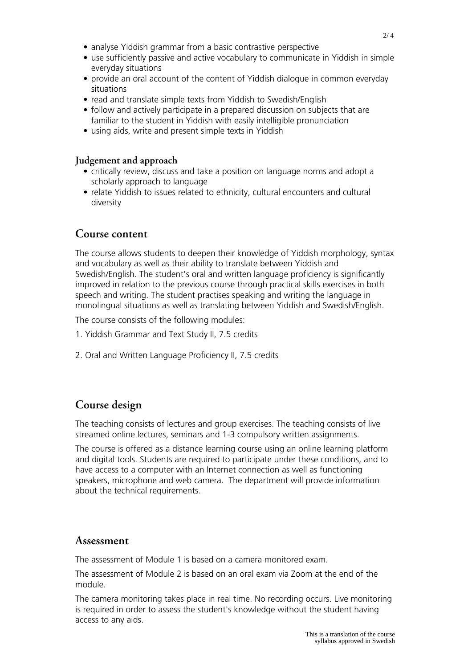- analyse Yiddish grammar from a basic contrastive perspective
- use sufficiently passive and active vocabulary to communicate in Yiddish in simple everyday situations
- provide an oral account of the content of Yiddish dialogue in common everyday situations
- read and translate simple texts from Yiddish to Swedish/English
- follow and actively participate in a prepared discussion on subjects that are familiar to the student in Yiddish with easily intelligible pronunciation
- using aids, write and present simple texts in Yiddish

#### **Judgement and approach**

- critically review, discuss and take a position on language norms and adopt a scholarly approach to language
- relate Yiddish to issues related to ethnicity, cultural encounters and cultural diversity

### **Course content**

The course allows students to deepen their knowledge of Yiddish morphology, syntax and vocabulary as well as their ability to translate between Yiddish and Swedish/English. The student's oral and written language proficiency is significantly improved in relation to the previous course through practical skills exercises in both speech and writing. The student practises speaking and writing the language in monolingual situations as well as translating between Yiddish and Swedish/English.

The course consists of the following modules:

- 1. Yiddish Grammar and Text Study II, 7.5 credits
- 2. Oral and Written Language Proficiency II, 7.5 credits

### **Course design**

The teaching consists of lectures and group exercises. The teaching consists of live streamed online lectures, seminars and 1-3 compulsory written assignments.

The course is offered as a distance learning course using an online learning platform and digital tools. Students are required to participate under these conditions, and to have access to a computer with an Internet connection as well as functioning speakers, microphone and web camera. The department will provide information about the technical requirements.

#### **Assessment**

The assessment of Module 1 is based on a camera monitored exam.

The assessment of Module 2 is based on an oral exam via Zoom at the end of the module.

The camera monitoring takes place in real time. No recording occurs. Live monitoring is required in order to assess the student's knowledge without the student having access to any aids.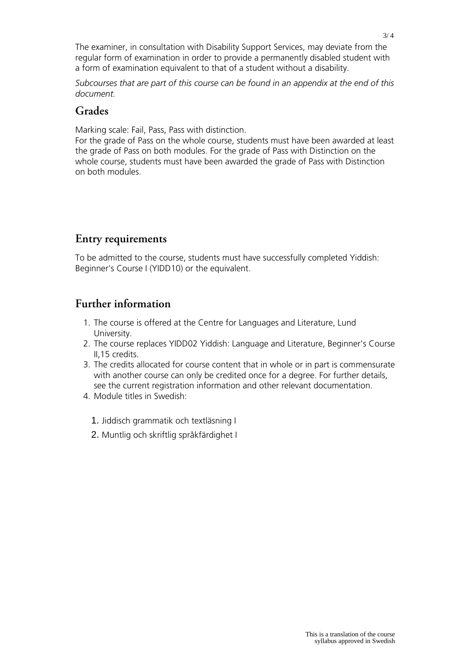The examiner, in consultation with Disability Support Services, may deviate from the regular form of examination in order to provide a permanently disabled student with a form of examination equivalent to that of a student without a disability.

*Subcourses that are part of this course can be found in an appendix at the end of this document.*

### **Grades**

Marking scale: Fail, Pass, Pass with distinction.

For the grade of Pass on the whole course, students must have been awarded at least the grade of Pass on both modules. For the grade of Pass with Distinction on the whole course, students must have been awarded the grade of Pass with Distinction on both modules.

## **Entry requirements**

To be admitted to the course, students must have successfully completed Yiddish: Beginner's Course I (YIDD10) or the equivalent.

## **Further information**

- 1. The course is offered at the Centre for Languages and Literature, Lund University.
- 2. The course replaces YIDD02 Yiddish: Language and Literature, Beginner's Course II,15 credits.
- 3. The credits allocated for course content that in whole or in part is commensurate with another course can only be credited once for a degree. For further details, see the current registration information and other relevant documentation.
- 4. Module titles in Swedish:
	- 1. Jiddisch grammatik och textläsning I
	- 2. Muntlig och skriftlig språkfärdighet I